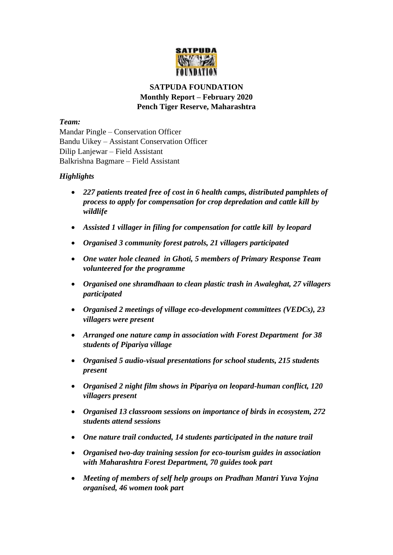

# **SATPUDA FOUNDATION Monthly Report – February 2020 Pench Tiger Reserve, Maharashtra**

#### *Team:*

Mandar Pingle – Conservation Officer Bandu Uikey – Assistant Conservation Officer Dilip Lanjewar – Field Assistant Balkrishna Bagmare – Field Assistant

# *Highlights*

- *227 patients treated free of cost in 6 health camps, distributed pamphlets of process to apply for compensation for crop depredation and cattle kill by wildlife*
- *Assisted 1 villager in filing for compensation for cattle kill by leopard*
- *Organised 3 community forest patrols, 21 villagers participated*
- *One water hole cleaned in Ghoti, 5 members of Primary Response Team volunteered for the programme*
- *Organised one shramdhaan to clean plastic trash in Awaleghat, 27 villagers participated*
- *Organised 2 meetings of village eco-development committees (VEDCs), 23 villagers were present*
- *Arranged one nature camp in association with Forest Department for 38 students of Pipariya village*
- *Organised 5 audio-visual presentations for school students, 215 students present*
- *Organised 2 night film shows in Pipariya on leopard-human conflict, 120 villagers present*
- *Organised 13 classroom sessions on importance of birds in ecosystem, 272 students attend sessions*
- *One nature trail conducted, 14 students participated in the nature trail*
- *Organised two-day training session for eco-tourism guides in association with Maharashtra Forest Department, 70 guides took part*
- *Meeting of members of self help groups on Pradhan Mantri Yuva Yojna organised, 46 women took part*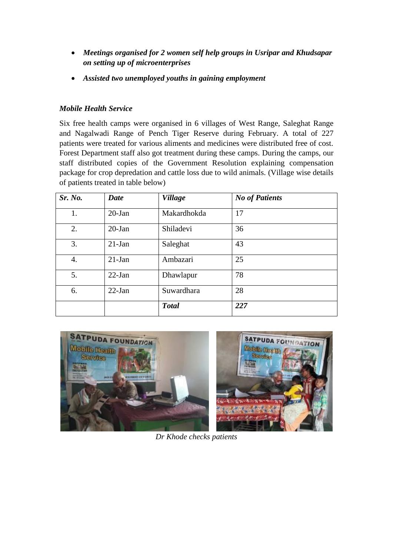- *Meetings organised for 2 women self help groups in Usripar and Khudsapar on setting up of microenterprises*
- *Assisted two unemployed youths in gaining employment*

# *Mobile Health Service*

Six free health camps were organised in 6 villages of West Range, Saleghat Range and Nagalwadi Range of Pench Tiger Reserve during February. A total of 227 patients were treated for various aliments and medicines were distributed free of cost. Forest Department staff also got treatment during these camps. During the camps, our staff distributed copies of the Government Resolution explaining compensation package for crop depredation and cattle loss due to wild animals. (Village wise details of patients treated in table below)

| Sr. No. | <b>Date</b> | <b>Village</b> | <b>No of Patients</b> |
|---------|-------------|----------------|-----------------------|
| 1.      | $20$ -Jan   | Makardhokda    | 17                    |
| 2.      | $20$ -Jan   | Shiladevi      | 36                    |
| 3.      | $21$ -Jan   | Saleghat       | 43                    |
| 4.      | $21$ -Jan   | Ambazari       | 25                    |
| 5.      | $22-Ian$    | Dhawlapur      | 78                    |
| 6.      | $22-Ian$    | Suwardhara     | 28                    |
|         |             | <b>Total</b>   | 227                   |



*Dr Khode checks patients*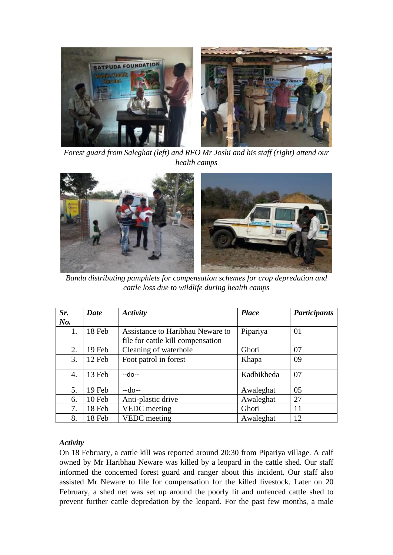

*Forest guard from Saleghat (left) and RFO Mr Joshi and his staff (right) attend our health camps*



*Bandu distributing pamphlets for compensation schemes for crop depredation and cattle loss due to wildlife during health camps*

| Sr.                   | Date   | <b>Activity</b>                   | <b>Place</b> | <b>Participants</b> |
|-----------------------|--------|-----------------------------------|--------------|---------------------|
| $N0$ .                |        |                                   |              |                     |
| 1.                    | 18 Feb | Assistance to Haribhau Neware to  | Pipariya     | 01                  |
|                       |        | file for cattle kill compensation |              |                     |
| 2.                    | 19 Feb | Cleaning of waterhole             | Ghoti        | 07                  |
| 3.                    | 12 Feb | Foot patrol in forest             | Khapa        | 09                  |
| $\mathcal{A}_{\cdot}$ | 13 Feb | $-do-$                            | Kadbikheda   | 07                  |
| 5.                    | 19 Feb | $-do-$                            | Awaleghat    | 05                  |
| 6.                    | 10 Feb | Anti-plastic drive                | Awaleghat    | 27                  |
| 7.                    | 18 Feb | VEDC meeting                      | Ghoti        | 11                  |
| 8.                    | 18 Feb | <b>VEDC</b> meeting               | Awaleghat    | 12                  |

#### *Activity*

On 18 February, a cattle kill was reported around 20:30 from Pipariya village. A calf owned by Mr Haribhau Neware was killed by a leopard in the cattle shed. Our staff informed the concerned forest guard and ranger about this incident. Our staff also assisted Mr Neware to file for compensation for the killed livestock. Later on 20 February, a shed net was set up around the poorly lit and unfenced cattle shed to prevent further cattle depredation by the leopard. For the past few months, a male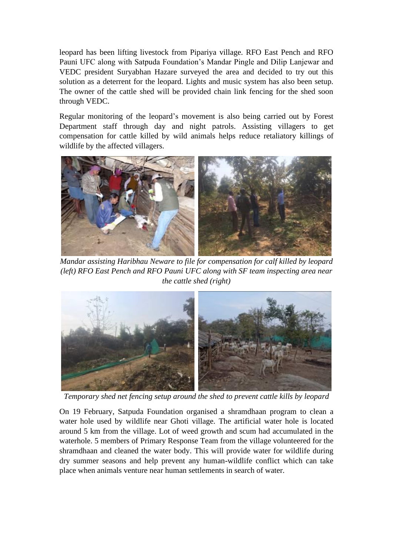leopard has been lifting livestock from Pipariya village. RFO East Pench and RFO Pauni UFC along with Satpuda Foundation's Mandar Pingle and Dilip Lanjewar and VEDC president Suryabhan Hazare surveyed the area and decided to try out this solution as a deterrent for the leopard. Lights and music system has also been setup. The owner of the cattle shed will be provided chain link fencing for the shed soon through VEDC.

Regular monitoring of the leopard's movement is also being carried out by Forest Department staff through day and night patrols. Assisting villagers to get compensation for cattle killed by wild animals helps reduce retaliatory killings of wildlife by the affected villagers.



*Mandar assisting Haribhau Neware to file for compensation for calf killed by leopard (left) RFO East Pench and RFO Pauni UFC along with SF team inspecting area near the cattle shed (right)*



*Temporary shed net fencing setup around the shed to prevent cattle kills by leopard*

On 19 February, Satpuda Foundation organised a shramdhaan program to clean a water hole used by wildlife near Ghoti village. The artificial water hole is located around 5 km from the village. Lot of weed growth and scum had accumulated in the waterhole. 5 members of Primary Response Team from the village volunteered for the shramdhaan and cleaned the water body. This will provide water for wildlife during dry summer seasons and help prevent any human-wildlife conflict which can take place when animals venture near human settlements in search of water.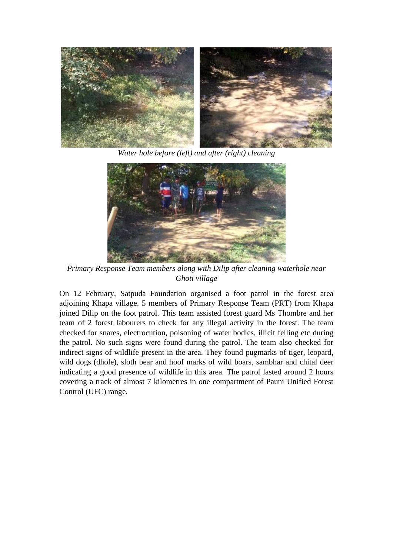

*Water hole before (left) and after (right) cleaning*



*Primary Response Team members along with Dilip after cleaning waterhole near Ghoti village*

On 12 February, Satpuda Foundation organised a foot patrol in the forest area adjoining Khapa village. 5 members of Primary Response Team (PRT) from Khapa joined Dilip on the foot patrol. This team assisted forest guard Ms Thombre and her team of 2 forest labourers to check for any illegal activity in the forest. The team checked for snares, electrocution, poisoning of water bodies, illicit felling etc during the patrol. No such signs were found during the patrol. The team also checked for indirect signs of wildlife present in the area. They found pugmarks of tiger, leopard, wild dogs (dhole), sloth bear and hoof marks of wild boars, sambhar and chital deer indicating a good presence of wildlife in this area. The patrol lasted around 2 hours covering a track of almost 7 kilometres in one compartment of Pauni Unified Forest Control (UFC) range.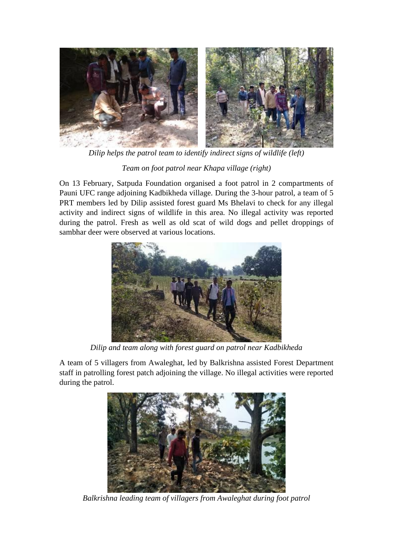

*Dilip helps the patrol team to identify indirect signs of wildlife (left) Team on foot patrol near Khapa village (right)*

On 13 February, Satpuda Foundation organised a foot patrol in 2 compartments of Pauni UFC range adjoining Kadbikheda village. During the 3-hour patrol, a team of 5 PRT members led by Dilip assisted forest guard Ms Bhelavi to check for any illegal activity and indirect signs of wildlife in this area. No illegal activity was reported during the patrol. Fresh as well as old scat of wild dogs and pellet droppings of sambhar deer were observed at various locations.



*Dilip and team along with forest guard on patrol near Kadbikheda*

A team of 5 villagers from Awaleghat, led by Balkrishna assisted Forest Department staff in patrolling forest patch adjoining the village. No illegal activities were reported during the patrol.



*Balkrishna leading team of villagers from Awaleghat during foot patrol*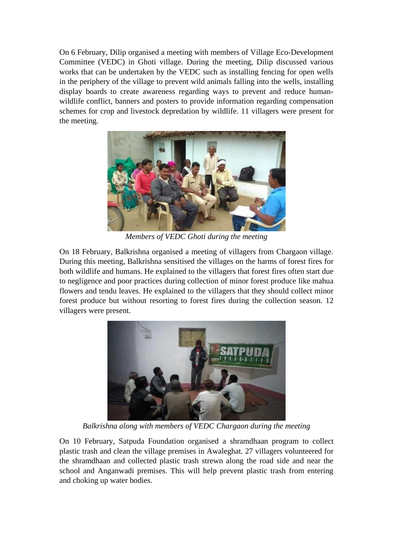On 6 February, Dilip organised a meeting with members of Village Eco-Development Committee (VEDC) in Ghoti village. During the meeting, Dilip discussed various works that can be undertaken by the VEDC such as installing fencing for open wells in the periphery of the village to prevent wild animals falling into the wells, installing display boards to create awareness regarding ways to prevent and reduce humanwildlife conflict, banners and posters to provide information regarding compensation schemes for crop and livestock depredation by wildlife. 11 villagers were present for the meeting.



*Members of VEDC Ghoti during the meeting*

On 18 February, Balkrishna organised a meeting of villagers from Chargaon village. During this meeting, Balkrishna sensitised the villages on the harms of forest fires for both wildlife and humans. He explained to the villagers that forest fires often start due to negligence and poor practices during collection of minor forest produce like mahua flowers and tendu leaves. He explained to the villagers that they should collect minor forest produce but without resorting to forest fires during the collection season. 12 villagers were present.



*Balkrishna along with members of VEDC Chargaon during the meeting*

On 10 February, Satpuda Foundation organised a shramdhaan program to collect plastic trash and clean the village premises in Awaleghat. 27 villagers volunteered for the shramdhaan and collected plastic trash strewn along the road side and near the school and Anganwadi premises. This will help prevent plastic trash from entering and choking up water bodies.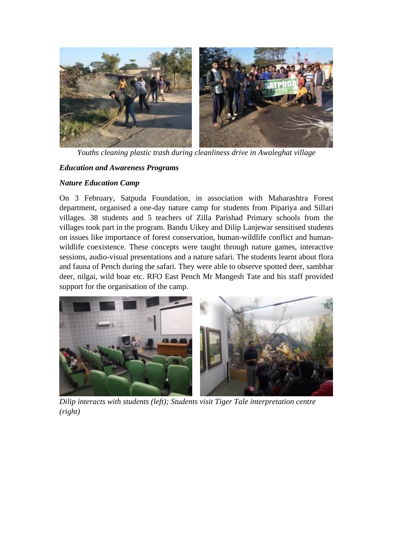

*Youths cleaning plastic trash during cleanliness drive in Awaleghat village* 

# *Education and Awareness Programs*

#### *Nature Education Camp*

On 3 February, Satpuda Foundation, in association with Maharashtra Forest department, organised a one-day nature camp for students from Pipariya and Sillari villages. 38 students and 5 teachers of Zilla Parishad Primary schools from the villages took part in the program. Bandu Uikey and Dilip Lanjewar sensitised students on issues like importance of forest conservation, human-wildlife conflict and humanwildlife coexistence. These concepts were taught through nature games, interactive sessions, audio-visual presentations and a nature safari. The students learnt about flora and fauna of Pench during the safari. They were able to observe spotted deer, sambhar deer, nilgai, wild boar etc. RFO East Pench Mr Mangesh Tate and his staff provided support for the organisation of the camp.



*Dilip interacts with students (left); Students visit Tiger Tale interpretation centre (right)*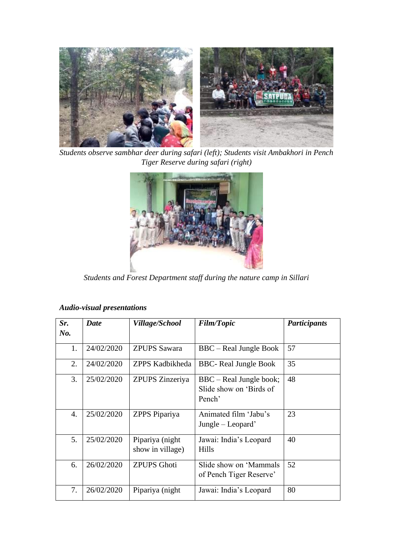

*Students observe sambhar deer during safari (left); Students visit Ambakhori in Pench Tiger Reserve during safari (right)*



*Students and Forest Department staff during the nature camp in Sillari*

| Sr.<br>No. | Date       | Village/School                      | <b>Film/Topic</b>                                            | <b>Participants</b> |
|------------|------------|-------------------------------------|--------------------------------------------------------------|---------------------|
| 1.         | 24/02/2020 | <b>ZPUPS Sawara</b>                 | BBC – Real Jungle Book                                       | 57                  |
| 2.         | 24/02/2020 | ZPPS Kadbikheda                     | <b>BBC-</b> Real Jungle Book                                 | 35                  |
| 3.         | 25/02/2020 | ZPUPS Zinzeriya                     | BBC – Real Jungle book;<br>Slide show on 'Birds of<br>Pench' | 48                  |
| 4.         | 25/02/2020 | ZPPS Pipariya                       | Animated film 'Jabu's<br>$Jangle - Loopard'$                 | 23                  |
| 5.         | 25/02/2020 | Pipariya (night<br>show in village) | Jawai: India's Leopard<br><b>Hills</b>                       | 40                  |
| 6.         | 26/02/2020 | <b>ZPUPS</b> Ghoti                  | Slide show on 'Mammals'<br>of Pench Tiger Reserve'           | 52                  |
| 7.         | 26/02/2020 | Pipariya (night)                    | Jawai: India's Leopard                                       | 80                  |

# *Audio-visual presentations*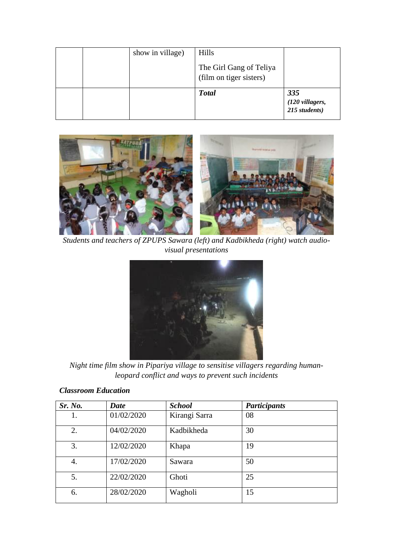|  | show in village) | Hills<br>The Girl Gang of Teliya<br>(film on tiger sisters) |                                                       |
|--|------------------|-------------------------------------------------------------|-------------------------------------------------------|
|  |                  | <b>Total</b>                                                | 335<br>$(120 \text{ villages}, 215 \text{ students})$ |



*Students and teachers of ZPUPS Sawara (left) and Kadbikheda (right) watch audiovisual presentations*



*Night time film show in Pipariya village to sensitise villagers regarding humanleopard conflict and ways to prevent such incidents* 

| Sr. No. | <b>Date</b> | <b>School</b> | <b>Participants</b> |  |
|---------|-------------|---------------|---------------------|--|
|         | 01/02/2020  | Kirangi Sarra | 08                  |  |
| 2.      | 04/02/2020  | Kadbikheda    | 30                  |  |
| 3.      | 12/02/2020  | Khapa         | 19                  |  |
| 4.      | 17/02/2020  | Sawara        | 50                  |  |
| 5.      | 22/02/2020  | Ghoti         | 25                  |  |
| 6.      | 28/02/2020  | Wagholi       | 15                  |  |

#### *Classroom Education*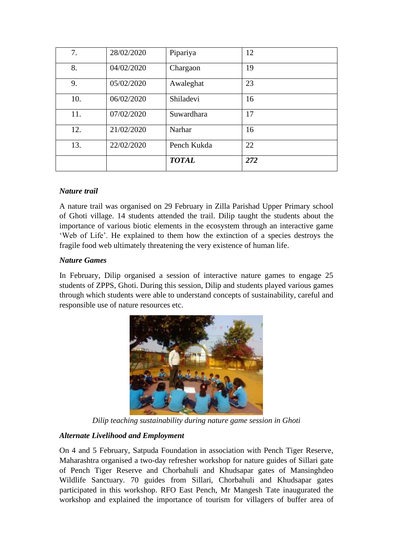| 7.  | 28/02/2020 | Pipariya     | 12  |
|-----|------------|--------------|-----|
| 8.  | 04/02/2020 | Chargaon     | 19  |
| 9.  | 05/02/2020 | Awaleghat    | 23  |
| 10. | 06/02/2020 | Shiladevi    | 16  |
| 11. | 07/02/2020 | Suwardhara   | 17  |
| 12. | 21/02/2020 | Narhar       | 16  |
| 13. | 22/02/2020 | Pench Kukda  | 22  |
|     |            | <b>TOTAL</b> | 272 |

# *Nature trail*

A nature trail was organised on 29 February in Zilla Parishad Upper Primary school of Ghoti village. 14 students attended the trail. Dilip taught the students about the importance of various biotic elements in the ecosystem through an interactive game 'Web of Life'. He explained to them how the extinction of a species destroys the fragile food web ultimately threatening the very existence of human life.

# *Nature Games*

In February, Dilip organised a session of interactive nature games to engage 25 students of ZPPS, Ghoti. During this session, Dilip and students played various games through which students were able to understand concepts of sustainability, careful and responsible use of nature resources etc.



*Dilip teaching sustainability during nature game session in Ghoti*

# *Alternate Livelihood and Employment*

On 4 and 5 February, Satpuda Foundation in association with Pench Tiger Reserve, Maharashtra organised a two-day refresher workshop for nature guides of Sillari gate of Pench Tiger Reserve and Chorbahuli and Khudsapar gates of Mansinghdeo Wildlife Sanctuary. 70 guides from Sillari, Chorbahuli and Khudsapar gates participated in this workshop. RFO East Pench, Mr Mangesh Tate inaugurated the workshop and explained the importance of tourism for villagers of buffer area of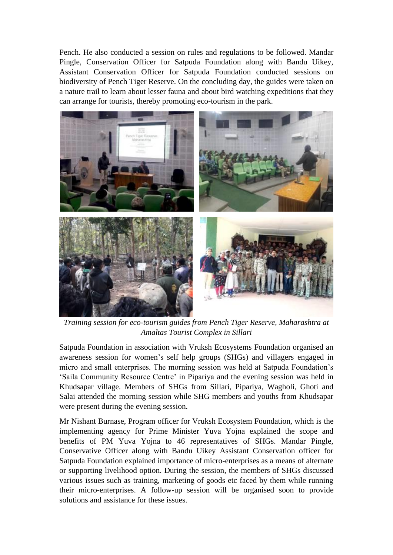Pench. He also conducted a session on rules and regulations to be followed. Mandar Pingle, Conservation Officer for Satpuda Foundation along with Bandu Uikey, Assistant Conservation Officer for Satpuda Foundation conducted sessions on biodiversity of Pench Tiger Reserve. On the concluding day, the guides were taken on a nature trail to learn about lesser fauna and about bird watching expeditions that they can arrange for tourists, thereby promoting eco-tourism in the park.



*Training session for eco-tourism guides from Pench Tiger Reserve, Maharashtra at Amaltas Tourist Complex in Sillari*

Satpuda Foundation in association with Vruksh Ecosystems Foundation organised an awareness session for women's self help groups (SHGs) and villagers engaged in micro and small enterprises. The morning session was held at Satpuda Foundation's 'Saila Community Resource Centre' in Pipariya and the evening session was held in Khudsapar village. Members of SHGs from Sillari, Pipariya, Wagholi, Ghoti and Salai attended the morning session while SHG members and youths from Khudsapar were present during the evening session.

Mr Nishant Burnase, Program officer for Vruksh Ecosystem Foundation, which is the implementing agency for Prime Minister Yuva Yojna explained the scope and benefits of PM Yuva Yojna to 46 representatives of SHGs. Mandar Pingle, Conservative Officer along with Bandu Uikey Assistant Conservation officer for Satpuda Foundation explained importance of micro-enterprises as a means of alternate or supporting livelihood option. During the session, the members of SHGs discussed various issues such as training, marketing of goods etc faced by them while running their micro-enterprises. A follow-up session will be organised soon to provide solutions and assistance for these issues.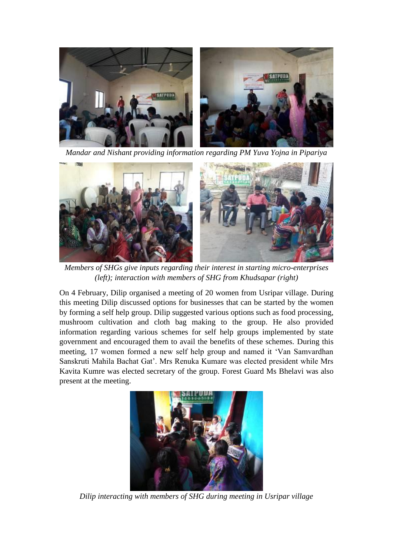

*Mandar and Nishant providing information regarding PM Yuva Yojna in Pipariya*



*Members of SHGs give inputs regarding their interest in starting micro-enterprises (left); interaction with members of SHG from Khudsapar (right)* 

On 4 February, Dilip organised a meeting of 20 women from Usripar village. During this meeting Dilip discussed options for businesses that can be started by the women by forming a self help group. Dilip suggested various options such as food processing, mushroom cultivation and cloth bag making to the group. He also provided information regarding various schemes for self help groups implemented by state government and encouraged them to avail the benefits of these schemes. During this meeting, 17 women formed a new self help group and named it 'Van Samvardhan Sanskruti Mahila Bachat Gat'. Mrs Renuka Kumare was elected president while Mrs Kavita Kumre was elected secretary of the group. Forest Guard Ms Bhelavi was also present at the meeting.



*Dilip interacting with members of SHG during meeting in Usripar village*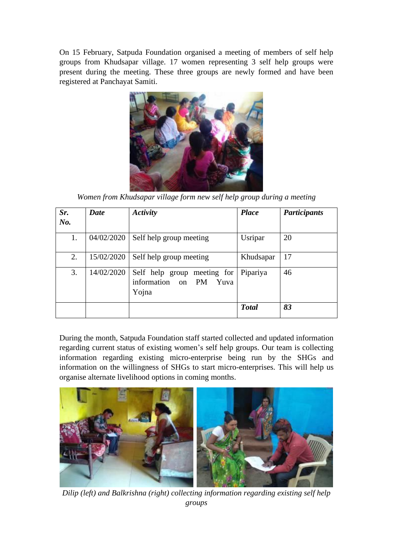On 15 February, Satpuda Foundation organised a meeting of members of self help groups from Khudsapar village. 17 women representing 3 self help groups were present during the meeting. These three groups are newly formed and have been registered at Panchayat Samiti.



*Women from Khudsapar village form new self help group during a meeting*

| Sr.<br>No. | Date       | <b>Activity</b>                                                      | <b>Place</b> | <b>Participants</b> |
|------------|------------|----------------------------------------------------------------------|--------------|---------------------|
| 1.         | 04/02/2020 | Self help group meeting                                              | Usripar      | 20                  |
| 2.         | 15/02/2020 | Self help group meeting                                              | Khudsapar    | 17                  |
| 3.         | 14/02/2020 | Self help group meeting for<br>information on<br>PM<br>Yuva<br>Yojna | Pipariya     | 46                  |
|            |            |                                                                      | <b>Total</b> | 83                  |

During the month, Satpuda Foundation staff started collected and updated information regarding current status of existing women's self help groups. Our team is collecting information regarding existing micro-enterprise being run by the SHGs and information on the willingness of SHGs to start micro-enterprises. This will help us organise alternate livelihood options in coming months.



*Dilip (left) and Balkrishna (right) collecting information regarding existing self help groups*